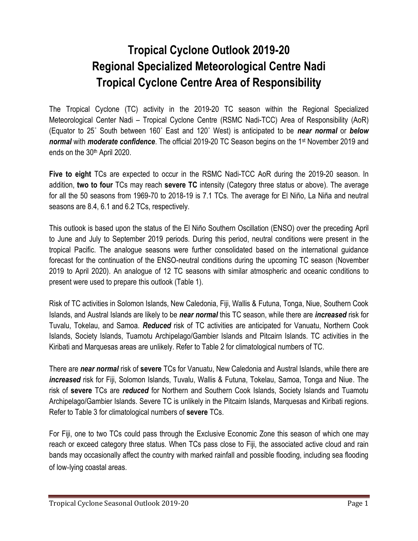## **Tropical Cyclone Outlook 2019-20 Regional Specialized Meteorological Centre Nadi Tropical Cyclone Centre Area of Responsibility**

The Tropical Cyclone (TC) activity in the 2019-20 TC season within the Regional Specialized Meteorological Center Nadi – Tropical Cyclone Centre (RSMC Nadi-TCC) Area of Responsibility (AoR) (Equator to 25˚ South between 160˚ East and 120˚ West) is anticipated to be *near normal* or *below*  normal with *moderate confidence*. The official 2019-20 TC Season begins on the 1<sup>st</sup> November 2019 and ends on the 30<sup>th</sup> April 2020.

**Five to eight** TCs are expected to occur in the RSMC Nadi-TCC AoR during the 2019-20 season. In addition, **two to four** TCs may reach **severe TC** intensity (Category three status or above). The average for all the 50 seasons from 1969-70 to 2018-19 is 7.1 TCs. The average for El Niño, La Niña and neutral seasons are 8.4, 6.1 and 6.2 TCs, respectively.

This outlook is based upon the status of the El Niño Southern Oscillation (ENSO) over the preceding April to June and July to September 2019 periods. During this period, neutral conditions were present in the tropical Pacific. The analogue seasons were further consolidated based on the international guidance forecast for the continuation of the ENSO-neutral conditions during the upcoming TC season (November 2019 to April 2020). An analogue of 12 TC seasons with similar atmospheric and oceanic conditions to present were used to prepare this outlook (Table 1).

Risk of TC activities in Solomon Islands, New Caledonia, Fiji, Wallis & Futuna, Tonga, Niue, Southern Cook Islands, and Austral Islands are likely to be *near normal* this TC season, while there are *increased* risk for Tuvalu, Tokelau, and Samoa. *Reduced* risk of TC activities are anticipated for Vanuatu, Northern Cook Islands, Society Islands, Tuamotu Archipelago/Gambier Islands and Pitcairn Islands. TC activities in the Kiribati and Marquesas areas are unlikely. Refer to Table 2 for climatological numbers of TC.

There are *near normal* risk of **severe** TCs for Vanuatu, New Caledonia and Austral Islands, while there are *increased* risk for Fiji, Solomon Islands, Tuvalu, Wallis & Futuna, Tokelau, Samoa, Tonga and Niue. The risk of **severe** TCs are *reduced* for Northern and Southern Cook Islands, Society Islands and Tuamotu Archipelago/Gambier Islands. Severe TC is unlikely in the Pitcairn Islands, Marquesas and Kiribati regions. Refer to Table 3 for climatological numbers of **severe** TCs.

For Fiji, one to two TCs could pass through the Exclusive Economic Zone this season of which one may reach or exceed category three status. When TCs pass close to Fiji, the associated active cloud and rain bands may occasionally affect the country with marked rainfall and possible flooding, including sea flooding of low‐lying coastal areas.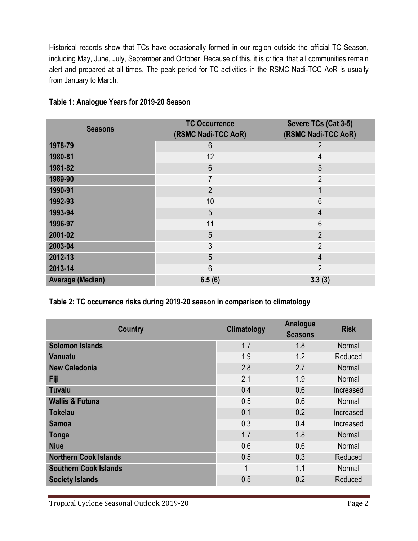Historical records show that TCs have occasionally formed in our region outside the official TC Season, including May, June, July, September and October. Because of this, it is critical that all communities remain alert and prepared at all times. The peak period for TC activities in the RSMC Nadi-TCC AoR is usually from January to March.

| <b>Seasons</b>          | <b>TC Occurrence</b> | Severe TCs (Cat 3-5) |
|-------------------------|----------------------|----------------------|
|                         | (RSMC Nadi-TCC AoR)  | (RSMC Nadi-TCC AoR)  |
| 1978-79                 | 6                    | $\overline{2}$       |
| 1980-81                 | 12                   | 4                    |
| 1981-82                 | $6\phantom{1}6$      | 5                    |
| 1989-90                 | 7                    | $\overline{2}$       |
| 1990-91                 | $\overline{2}$       | 1                    |
| 1992-93                 | 10                   | $6\phantom{1}6$      |
| 1993-94                 | 5                    | $\overline{4}$       |
| 1996-97                 | 11                   | 6                    |
| 2001-02                 | 5                    | $\overline{2}$       |
| 2003-04                 | 3                    | $\overline{2}$       |
| 2012-13                 | 5                    | $\overline{4}$       |
| 2013-14                 | 6                    | $\overline{2}$       |
| <b>Average (Median)</b> | 6.5(6)               | 3.3(3)               |

## **Table 1: Analogue Years for 2019-20 Season**

**Table 2: TC occurrence risks during 2019-20 season in comparison to climatology**

| <b>Country</b>               | Climatology | Analogue<br><b>Seasons</b> | <b>Risk</b>   |
|------------------------------|-------------|----------------------------|---------------|
| <b>Solomon Islands</b>       | 1.7         | 1.8                        | <b>Normal</b> |
| Vanuatu                      | 1.9         | 1.2                        | Reduced       |
| <b>New Caledonia</b>         | 2.8         | 2.7                        | Normal        |
| Fiji                         | 2.1         | 1.9                        | Normal        |
| <b>Tuvalu</b>                | 0.4         | 0.6                        | Increased     |
| <b>Wallis &amp; Futuna</b>   | 0.5         | 0.6                        | Normal        |
| <b>Tokelau</b>               | 0.1         | 0.2                        | Increased     |
| <b>Samoa</b>                 | 0.3         | 0.4                        | Increased     |
| Tonga                        | 1.7         | 1.8                        | Normal        |
| <b>Niue</b>                  | 0.6         | 0.6                        | Normal        |
| <b>Northern Cook Islands</b> | 0.5         | 0.3                        | Reduced       |
| <b>Southern Cook Islands</b> | 1           | 1.1                        | Normal        |
| <b>Society Islands</b>       | 0.5         | 0.2                        | Reduced       |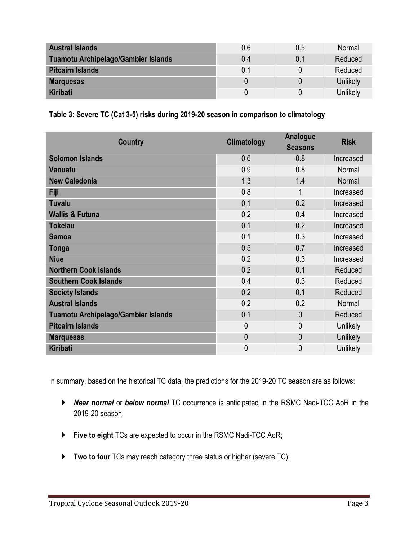| <b>Austral Islands</b>                     | 0.6 | 0.5 | Normal   |
|--------------------------------------------|-----|-----|----------|
| <b>Tuamotu Archipelago/Gambier Islands</b> | 0.4 | 0.1 | Reduced  |
| <b>Pitcairn Islands</b>                    | 0.1 |     | Reduced  |
| <b>Marquesas</b>                           |     | 0   | Unlikely |
| Kiribati                                   |     |     | Unlikely |

**Table 3: Severe TC (Cat 3-5) risks during 2019-20 season in comparison to climatology**

| <b>Country</b>                             | Climatology    | Analogue<br><b>Seasons</b> | <b>Risk</b>     |
|--------------------------------------------|----------------|----------------------------|-----------------|
| <b>Solomon Islands</b>                     | 0.6            | 0.8                        | Increased       |
| Vanuatu                                    | 0.9            | 0.8                        | Normal          |
| <b>New Caledonia</b>                       | 1.3            | 1.4                        | Normal          |
| Fiji                                       | 0.8            | 1                          | Increased       |
| <b>Tuvalu</b>                              | 0.1            | 0.2                        | Increased       |
| <b>Wallis &amp; Futuna</b>                 | 0.2            | 0.4                        | Increased       |
| <b>Tokelau</b>                             | 0.1            | 0.2                        | Increased       |
| <b>Samoa</b>                               | 0.1            | 0.3                        | Increased       |
| Tonga                                      | 0.5            | 0.7                        | Increased       |
| <b>Niue</b>                                | 0.2            | 0.3                        | Increased       |
| <b>Northern Cook Islands</b>               | 0.2            | 0.1                        | Reduced         |
| <b>Southern Cook Islands</b>               | 0.4            | 0.3                        | Reduced         |
| <b>Society Islands</b>                     | 0.2            | 0.1                        | Reduced         |
| <b>Austral Islands</b>                     | 0.2            | 0.2                        | Normal          |
| <b>Tuamotu Archipelago/Gambier Islands</b> | 0.1            | $\mathbf{0}$               | Reduced         |
| <b>Pitcairn Islands</b>                    | $\overline{0}$ | 0                          | Unlikely        |
| <b>Marquesas</b>                           | $\overline{0}$ | 0                          | Unlikely        |
| <b>Kiribati</b>                            | $\overline{0}$ | 0                          | <b>Unlikely</b> |

In summary, based on the historical TC data, the predictions for the 2019-20 TC season are as follows:

- *Near normal* or *below normal* TC occurrence is anticipated in the RSMC Nadi-TCC AoR in the 2019-20 season;
- **Five to eight** TCs are expected to occur in the RSMC Nadi-TCC AoR;
- **Two to four** TCs may reach category three status or higher (severe TC);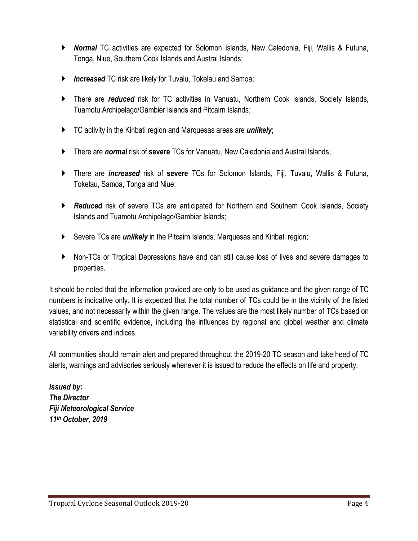- *Normal* TC activities are expected for Solomon Islands, New Caledonia, Fiji, Wallis & Futuna, Tonga, Niue, Southern Cook Islands and Austral Islands;
- *Increased* TC risk are likely for Tuvalu, Tokelau and Samoa;
- There are *reduced* risk for TC activities in Vanuatu, Northern Cook Islands, Society Islands, Tuamotu Archipelago/Gambier Islands and Pitcairn Islands;
- TC activity in the Kiribati region and Marquesas areas are *unlikely*;
- There are *normal* risk of **severe** TCs for Vanuatu, New Caledonia and Austral Islands;
- There are *increased* risk of **severe** TCs for Solomon Islands, Fiji, Tuvalu, Wallis & Futuna, Tokelau, Samoa, Tonga and Niue;
- *Reduced* risk of severe TCs are anticipated for Northern and Southern Cook Islands, Society Islands and Tuamotu Archipelago/Gambier Islands;
- Severe TCs are *unlikely* in the Pitcairn Islands, Marquesas and Kiribati region;
- Non-TCs or Tropical Depressions have and can still cause loss of lives and severe damages to properties.

It should be noted that the information provided are only to be used as guidance and the given range of TC numbers is indicative only. It is expected that the total number of TCs could be in the vicinity of the listed values, and not necessarily within the given range. The values are the most likely number of TCs based on statistical and scientific evidence, including the influences by regional and global weather and climate variability drivers and indices.

All communities should remain alert and prepared throughout the 2019-20 TC season and take heed of TC alerts, warnings and advisories seriously whenever it is issued to reduce the effects on life and property.

*Issued by: The Director Fiji Meteorological Service 11th October, 2019*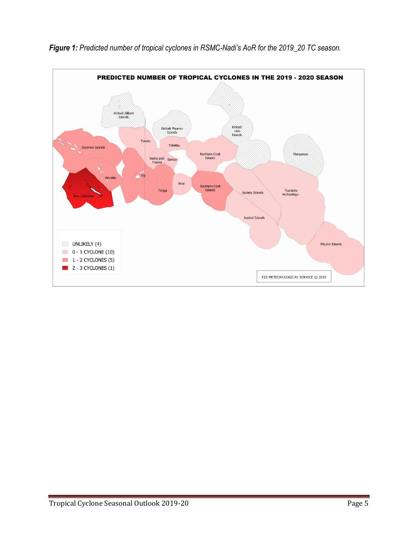

*Figure 1: Predicted number of tropical cyclones in RSMC-Nadi's AoR for the 2019\_20 TC season.*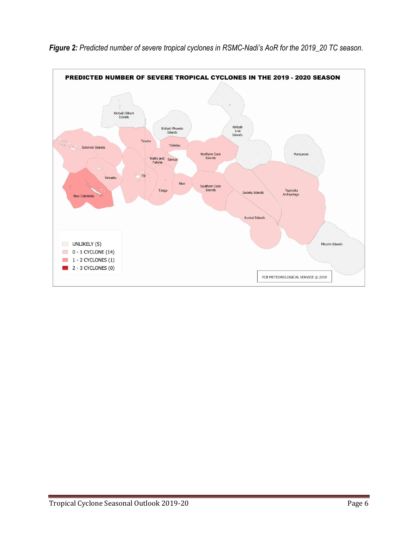

*Figure 2: Predicted number of severe tropical cyclones in RSMC-Nadi's AoR for the 2019\_20 TC season.*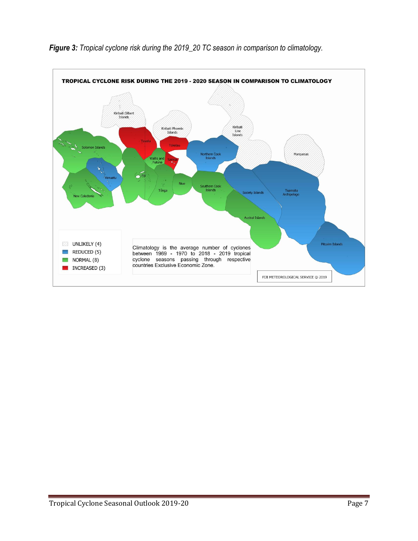

## *Figure 3: Tropical cyclone risk during the 2019\_20 TC season in comparison to climatology.*